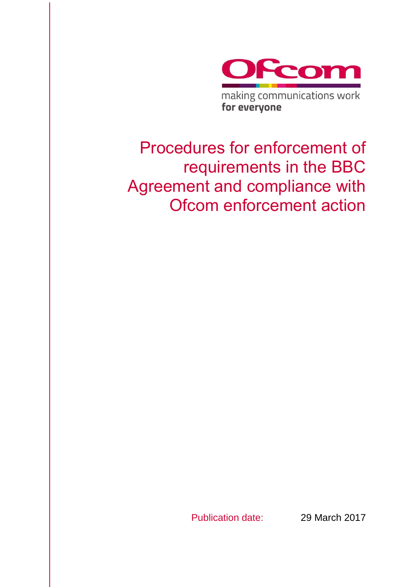

Publication date: 29 March 2017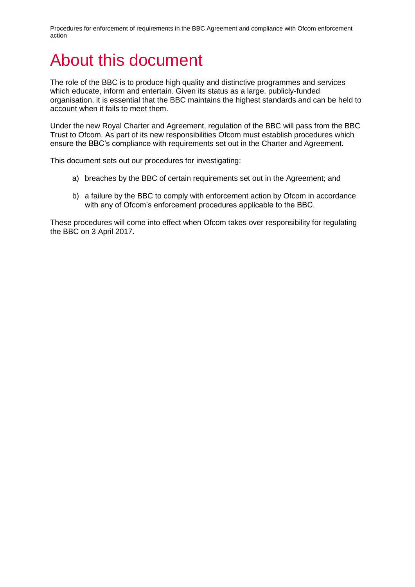# About this document

The role of the BBC is to produce high quality and distinctive programmes and services which educate, inform and entertain. Given its status as a large, publicly-funded organisation, it is essential that the BBC maintains the highest standards and can be held to account when it fails to meet them.

Under the new Royal Charter and Agreement, regulation of the BBC will pass from the BBC Trust to Ofcom. As part of its new responsibilities Ofcom must establish procedures which ensure the BBC's compliance with requirements set out in the Charter and Agreement.

This document sets out our procedures for investigating:

- a) breaches by the BBC of certain requirements set out in the Agreement; and
- b) a failure by the BBC to comply with enforcement action by Ofcom in accordance with any of Ofcom's enforcement procedures applicable to the BBC.

These procedures will come into effect when Ofcom takes over responsibility for regulating the BBC on 3 April 2017.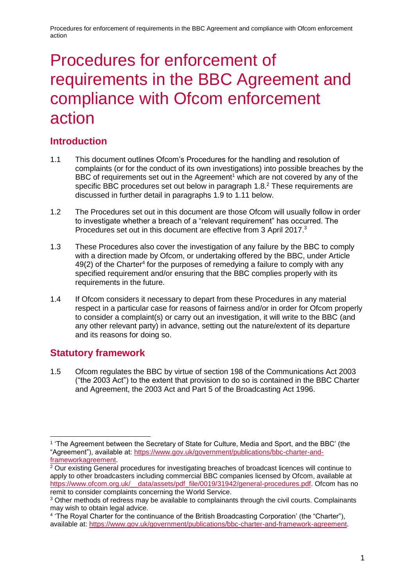# Procedures for enforcement of requirements in the BBC Agreement and compliance with Ofcom enforcement action

# **Introduction**

- 1.1 This document outlines Ofcom's Procedures for the handling and resolution of complaints (or for the conduct of its own investigations) into possible breaches by the BBC of requirements set out in the Agreement<sup>1</sup> which are not covered by any of the specific BBC procedures set out below in paragraph 1.8.<sup>2</sup> These requirements are discussed in further detail in paragraphs 1.9 to 1.11 below.
- 1.2 The Procedures set out in this document are those Ofcom will usually follow in order to investigate whether a breach of a "relevant requirement" has occurred. The Procedures set out in this document are effective from 3 April 2017.<sup>3</sup>
- 1.3 These Procedures also cover the investigation of any failure by the BBC to comply with a direction made by Ofcom, or undertaking offered by the BBC, under Article  $49(2)$  of the Charter<sup>4</sup> for the purposes of remedying a failure to comply with any specified requirement and/or ensuring that the BBC complies properly with its requirements in the future.
- 1.4 If Ofcom considers it necessary to depart from these Procedures in any material respect in a particular case for reasons of fairness and/or in order for Ofcom properly to consider a complaint(s) or carry out an investigation, it will write to the BBC (and any other relevant party) in advance, setting out the nature/extent of its departure and its reasons for doing so.

# **Statutory framework**

-

1.5 Ofcom regulates the BBC by virtue of section 198 of the Communications Act 2003 ("the 2003 Act") to the extent that provision to do so is contained in the BBC Charter and Agreement, the 2003 Act and Part 5 of the Broadcasting Act 1996.

<sup>1</sup> 'The Agreement between the Secretary of State for Culture, Media and Sport, and the BBC' (the "Agreement"), available at: [https://www.gov.uk/government/publications/bbc-charter-and](https://www.gov.uk/government/publications/bbc-charter-and-frameworkagreement)[frameworkagreement.](https://www.gov.uk/government/publications/bbc-charter-and-frameworkagreement)

<sup>&</sup>lt;sup>2</sup> Our existing General procedures for investigating breaches of broadcast licences will continue to apply to other broadcasters including commercial BBC companies licensed by Ofcom, available at https://www.ofcom.org.uk/\_data/assets/pdf\_file/0019/31942/general-procedures.pdf. Ofcom has no remit to consider complaints concerning the World Service.

<sup>&</sup>lt;sup>3</sup> Other methods of redress may be available to complainants through the civil courts. Complainants may wish to obtain legal advice.

<sup>4</sup> 'The Royal Charter for the continuance of the British Broadcasting Corporation' (the "Charter"), available at: [https://www.gov.uk/government/publications/bbc-charter-and-framework-agreement.](https://www.gov.uk/government/publications/bbc-charter-and-framework-agreement)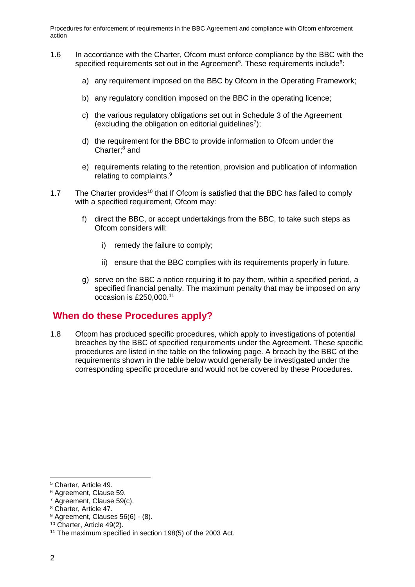- 1.6 In accordance with the Charter, Ofcom must enforce compliance by the BBC with the specified requirements set out in the Agreement<sup>5</sup>. These requirements include<sup>6</sup>:
	- a) any requirement imposed on the BBC by Ofcom in the Operating Framework;
	- b) any regulatory condition imposed on the BBC in the operating licence;
	- c) the various regulatory obligations set out in Schedule 3 of the Agreement (excluding the obligation on editorial guidelines<sup>7</sup>);
	- d) the requirement for the BBC to provide information to Ofcom under the Charter;<sup>8</sup> and
	- e) requirements relating to the retention, provision and publication of information relating to complaints.<sup>9</sup>
- 1.7 The Charter provides<sup>10</sup> that If Ofcom is satisfied that the BBC has failed to comply with a specified requirement, Ofcom may:
	- f) direct the BBC, or accept undertakings from the BBC, to take such steps as Ofcom considers will:
		- i) remedy the failure to comply;
		- ii) ensure that the BBC complies with its requirements properly in future.
	- g) serve on the BBC a notice requiring it to pay them, within a specified period, a specified financial penalty. The maximum penalty that may be imposed on any occasion is £250,000.<sup>11</sup>

# **When do these Procedures apply?**

1.8 Ofcom has produced specific procedures, which apply to investigations of potential breaches by the BBC of specified requirements under the Agreement. These specific procedures are listed in the table on the following page. A breach by the BBC of the requirements shown in the table below would generally be investigated under the corresponding specific procedure and would not be covered by these Procedures.

<sup>5</sup> Charter, Article 49.

<sup>6</sup> Agreement, Clause 59.

<sup>7</sup> Agreement, Clause 59(c).

<sup>8</sup> Charter, Article 47.

 $9$  Agreement, Clauses 56(6) - (8).

<sup>10</sup> Charter, Article 49(2).

<sup>&</sup>lt;sup>11</sup> The maximum specified in section 198(5) of the 2003 Act.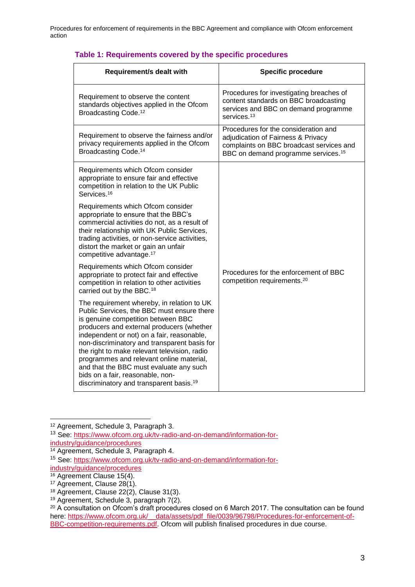| <b>Requirement/s dealt with</b>                                                                                                                                                                                                                                                                                                                                                                                                                                                                             | <b>Specific procedure</b>                                                                                                                                                 |
|-------------------------------------------------------------------------------------------------------------------------------------------------------------------------------------------------------------------------------------------------------------------------------------------------------------------------------------------------------------------------------------------------------------------------------------------------------------------------------------------------------------|---------------------------------------------------------------------------------------------------------------------------------------------------------------------------|
| Requirement to observe the content<br>standards objectives applied in the Ofcom<br>Broadcasting Code. <sup>12</sup>                                                                                                                                                                                                                                                                                                                                                                                         | Procedures for investigating breaches of<br>content standards on BBC broadcasting<br>services and BBC on demand programme<br>services. <sup>13</sup>                      |
| Requirement to observe the fairness and/or<br>privacy requirements applied in the Ofcom<br>Broadcasting Code. <sup>14</sup>                                                                                                                                                                                                                                                                                                                                                                                 | Procedures for the consideration and<br>adjudication of Fairness & Privacy<br>complaints on BBC broadcast services and<br>BBC on demand programme services. <sup>15</sup> |
| Requirements which Ofcom consider<br>appropriate to ensure fair and effective<br>competition in relation to the UK Public<br>Services. <sup>16</sup>                                                                                                                                                                                                                                                                                                                                                        |                                                                                                                                                                           |
| Requirements which Ofcom consider<br>appropriate to ensure that the BBC's<br>commercial activities do not, as a result of<br>their relationship with UK Public Services,<br>trading activities, or non-service activities,<br>distort the market or gain an unfair<br>competitive advantage. <sup>17</sup>                                                                                                                                                                                                  |                                                                                                                                                                           |
| Requirements which Ofcom consider<br>appropriate to protect fair and effective<br>competition in relation to other activities<br>carried out by the BBC. <sup>18</sup>                                                                                                                                                                                                                                                                                                                                      | Procedures for the enforcement of BBC<br>competition requirements. <sup>20</sup>                                                                                          |
| The requirement whereby, in relation to UK<br>Public Services, the BBC must ensure there<br>is genuine competition between BBC<br>producers and external producers (whether<br>independent or not) on a fair, reasonable,<br>non-discriminatory and transparent basis for<br>the right to make relevant television, radio<br>programmes and relevant online material,<br>and that the BBC must evaluate any such<br>bids on a fair, reasonable, non-<br>discriminatory and transparent basis. <sup>19</sup> |                                                                                                                                                                           |

#### **Table 1: Requirements covered by the specific procedures**

<sup>12</sup> Agreement, Schedule 3, Paragraph 3.

<sup>13</sup> See: [https://www.ofcom.org.uk/tv-radio-and-on-demand/information-for](https://www.ofcom.org.uk/tv-radio-and-on-demand/information-for-industry/guidance/procedures)[industry/guidance/procedures](https://www.ofcom.org.uk/tv-radio-and-on-demand/information-for-industry/guidance/procedures)

<sup>14</sup> Agreement, Schedule 3, Paragraph 4.

<sup>15</sup> See: [https://www.ofcom.org.uk/tv-radio-and-on-demand/information-for](https://www.ofcom.org.uk/tv-radio-and-on-demand/information-for-industry/guidance/procedures)[industry/guidance/procedures](https://www.ofcom.org.uk/tv-radio-and-on-demand/information-for-industry/guidance/procedures)

<sup>&</sup>lt;sup>16</sup> Agreement Clause 15(4).

<sup>&</sup>lt;sup>17</sup> Agreement, Clause 28(1).

 $18$  Agreement, Clause 22(2), Clause 31(3).

<sup>&</sup>lt;sup>19</sup> Agreement, Schedule 3, paragraph  $7(2)$ .

<sup>&</sup>lt;sup>20</sup> A consultation on Ofcom's draft procedures closed on 6 March 2017. The consultation can be found here: https://www.ofcom.org.uk/ data/assets/pdf file/0039/96798/Procedures-for-enforcement-of-[BBC-competition-requirements.pdf.](https://www.ofcom.org.uk/__data/assets/pdf_file/0039/96798/Procedures-for-enforcement-of-BBC-competition-requirements.pdf) Ofcom will publish finalised procedures in due course.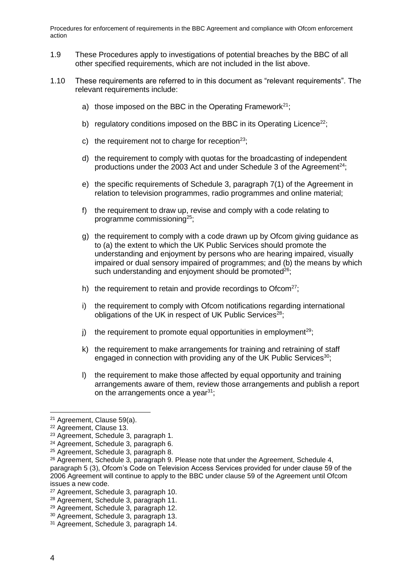- 1.9 These Procedures apply to investigations of potential breaches by the BBC of all other specified requirements, which are not included in the list above.
- 1.10 These requirements are referred to in this document as "relevant requirements". The relevant requirements include:
	- a) those imposed on the BBC in the Operating Framework<sup>21</sup>:
	- b) regulatory conditions imposed on the BBC in its Operating Licence<sup>22</sup>;
	- c) the requirement not to charge for reception<sup>23</sup>;
	- d) the requirement to comply with quotas for the broadcasting of independent productions under the 2003 Act and under Schedule 3 of the Agreement<sup>24</sup>;
	- e) the specific requirements of Schedule 3, paragraph 7(1) of the Agreement in relation to television programmes, radio programmes and online material;
	- f) the requirement to draw up, revise and comply with a code relating to programme commissioning<sup>25</sup>;
	- g) the requirement to comply with a code drawn up by Ofcom giving guidance as to (a) the extent to which the UK Public Services should promote the understanding and enjoyment by persons who are hearing impaired, visually impaired or dual sensory impaired of programmes; and (b) the means by which such understanding and enjoyment should be promoted<sup>26</sup>:
	- h) the requirement to retain and provide recordings to Ofcom<sup>27</sup>;
	- i) the requirement to comply with Ofcom notifications regarding international obligations of the UK in respect of UK Public Services $^{28}$ .
	- i) the requirement to promote equal opportunities in employment<sup>29</sup>;
	- k) the requirement to make arrangements for training and retraining of staff engaged in connection with providing any of the UK Public Services<sup>30</sup>;
	- l) the requirement to make those affected by equal opportunity and training arrangements aware of them, review those arrangements and publish a report on the arrangements once a year $31$ ;

<sup>21</sup> Agreement, Clause 59(a).

<sup>22</sup> Agreement, Clause 13.

<sup>23</sup> Agreement, Schedule 3, paragraph 1.

<sup>24</sup> Agreement, Schedule 3, paragraph 6.

<sup>25</sup> Agreement, Schedule 3, paragraph 8.

<sup>&</sup>lt;sup>26</sup> Agreement, Schedule 3, paragraph 9. Please note that under the Agreement, Schedule 4, paragraph 5 (3), Ofcom's Code on Television Access Services provided for under clause 59 of the 2006 Agreement will continue to apply to the BBC under clause 59 of the Agreement until Ofcom issues a new code.

<sup>27</sup> Agreement, Schedule 3, paragraph 10.

<sup>28</sup> Agreement, Schedule 3, paragraph 11.

<sup>29</sup> Agreement, Schedule 3, paragraph 12.

<sup>30</sup> Agreement, Schedule 3, paragraph 13.

<sup>31</sup> Agreement, Schedule 3, paragraph 14.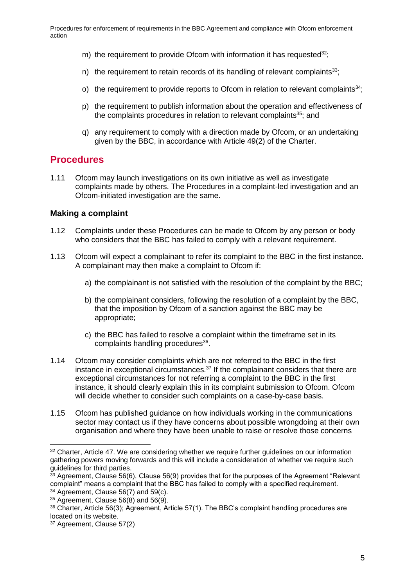- m) the requirement to provide Ofcom with information it has requested  $32$ ;
- n) the requirement to retain records of its handling of relevant complaints<sup>33</sup>;
- o) the requirement to provide reports to Ofcom in relation to relevant complaints<sup>34</sup>;
- p) the requirement to publish information about the operation and effectiveness of the complaints procedures in relation to relevant complaints $35$ : and
- q) any requirement to comply with a direction made by Ofcom, or an undertaking given by the BBC, in accordance with Article 49(2) of the Charter.

## **Procedures**

1.11 Ofcom may launch investigations on its own initiative as well as investigate complaints made by others. The Procedures in a complaint-led investigation and an Ofcom-initiated investigation are the same.

#### **Making a complaint**

- 1.12 Complaints under these Procedures can be made to Ofcom by any person or body who considers that the BBC has failed to comply with a relevant requirement.
- 1.13 Ofcom will expect a complainant to refer its complaint to the BBC in the first instance. A complainant may then make a complaint to Ofcom if:
	- a) the complainant is not satisfied with the resolution of the complaint by the BBC;
	- b) the complainant considers, following the resolution of a complaint by the BBC, that the imposition by Ofcom of a sanction against the BBC may be appropriate;
	- c) the BBC has failed to resolve a complaint within the timeframe set in its complaints handling procedures<sup>36</sup>.
- 1.14 Ofcom may consider complaints which are not referred to the BBC in the first instance in exceptional circumstances. $37$  If the complainant considers that there are exceptional circumstances for not referring a complaint to the BBC in the first instance, it should clearly explain this in its complaint submission to Ofcom. Ofcom will decide whether to consider such complaints on a case-by-case basis.
- 1.15 Ofcom has published guidance on how individuals working in the communications sector may contact us if they have concerns about possible wrongdoing at their own organisation and where they have been unable to raise or resolve those concerns

<sup>&</sup>lt;sup>32</sup> Charter, Article 47. We are considering whether we require further guidelines on our information gathering powers moving forwards and this will include a consideration of whether we require such guidelines for third parties.

 $33$  Agreement, Clause 56(6), Clause 56(9) provides that for the purposes of the Agreement "Relevant" complaint" means a complaint that the BBC has failed to comply with a specified requirement.

 $34$  Agreement, Clause 56(7) and 59(c).

 $35$  Agreement, Clause 56(8) and 56(9).

<sup>36</sup> Charter, Article 56(3); Agreement, Article 57(1). The BBC's complaint handling procedures are located on its website.

<sup>37</sup> Agreement, Clause 57(2)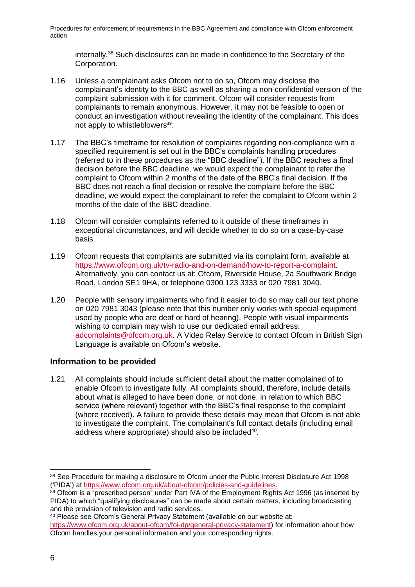internally.<sup>38</sup> Such disclosures can be made in confidence to the Secretary of the Corporation.

- 1.16 Unless a complainant asks Ofcom not to do so, Ofcom may disclose the complainant's identity to the BBC as well as sharing a non-confidential version of the complaint submission with it for comment. Ofcom will consider requests from complainants to remain anonymous. However, it may not be feasible to open or conduct an investigation without revealing the identity of the complainant. This does not apply to whistleblowers<sup>39</sup>.
- 1.17 The BBC's timeframe for resolution of complaints regarding non-compliance with a specified requirement is set out in the BBC's complaints handling procedures (referred to in these procedures as the "BBC deadline"). If the BBC reaches a final decision before the BBC deadline, we would expect the complainant to refer the complaint to Ofcom within 2 months of the date of the BBC's final decision. If the BBC does not reach a final decision or resolve the complaint before the BBC deadline, we would expect the complainant to refer the complaint to Ofcom within 2 months of the date of the BBC deadline.
- 1.18 Ofcom will consider complaints referred to it outside of these timeframes in exceptional circumstances, and will decide whether to do so on a case-by-case basis.
- 1.19 Ofcom requests that complaints are submitted via its complaint form, available at [https://www.ofcom.org.uk/tv-radio-and-on-demand/how-to-report-a-complaint.](https://www.ofcom.org.uk/tv-radio-and-on-demand/how-to-report-a-complaint) Alternatively, you can contact us at: Ofcom, Riverside House, 2a Southwark Bridge Road, London SE1 9HA, or telephone 0300 123 3333 or 020 7981 3040.
- 1.20 People with sensory impairments who find it easier to do so may call our text phone on 020 7981 3043 (please note that this number only works with special equipment used by people who are deaf or hard of hearing). People with visual impairments wishing to complain may wish to use our dedicated email address: [adcomplaints@ofcom.org.uk.](mailto:adcomplaints@ofcom.org.uk) A Video Relay Service to contact Ofcom in British Sign Language is available on Ofcom's website.

## **Information to be provided**

1.21 All complaints should include sufficient detail about the matter complained of to enable Ofcom to investigate fully. All complaints should, therefore, include details about what is alleged to have been done, or not done, in relation to which BBC service (where relevant) together with the BBC's final response to the complaint (where received). A failure to provide these details may mean that Ofcom is not able to investigate the complaint. The complainant's full contact details (including email address where appropriate) should also be included<sup>40</sup>.

<sup>40</sup> Please see Ofcom's General Privacy Statement (available on our website at:

<sup>38</sup> See Procedure for making a disclosure to Ofcom under the Public Interest Disclosure Act 1998 ('PIDA') at [https://www.ofcom.org.uk/about-ofcom/policies-and-guidelines.](https://www.ofcom.org.uk/about-ofcom/policies-and-guidelines)

<sup>&</sup>lt;sup>39</sup> Ofcom is a "prescribed person" under Part IVA of the Employment Rights Act 1996 (as inserted by PIDA) to which "qualifying disclosures" can be made about certain matters, including broadcasting and the provision of television and radio services.

[https://www.ofcom.org.uk/about-ofcom/foi-dp/general-privacy-statement\)](https://www.ofcom.org.uk/about-ofcom/foi-dp/general-privacy-statement) for information about how Ofcom handles your personal information and your corresponding rights.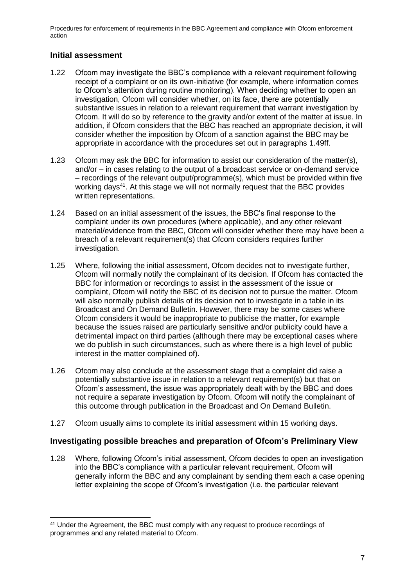### **Initial assessment**

-

- 1.22 Ofcom may investigate the BBC's compliance with a relevant requirement following receipt of a complaint or on its own-initiative (for example, where information comes to Ofcom's attention during routine monitoring). When deciding whether to open an investigation, Ofcom will consider whether, on its face, there are potentially substantive issues in relation to a relevant requirement that warrant investigation by Ofcom. It will do so by reference to the gravity and/or extent of the matter at issue. In addition, if Ofcom considers that the BBC has reached an appropriate decision, it will consider whether the imposition by Ofcom of a sanction against the BBC may be appropriate in accordance with the procedures set out in paragraphs 1.49ff.
- 1.23 Ofcom may ask the BBC for information to assist our consideration of the matter(s), and/or – in cases relating to the output of a broadcast service or on-demand service – recordings of the relevant output/programme(s), which must be provided within five working days<sup>41</sup>. At this stage we will not normally request that the BBC provides written representations.
- 1.24 Based on an initial assessment of the issues, the BBC's final response to the complaint under its own procedures (where applicable), and any other relevant material/evidence from the BBC, Ofcom will consider whether there may have been a breach of a relevant requirement(s) that Ofcom considers requires further investigation.
- 1.25 Where, following the initial assessment, Ofcom decides not to investigate further, Ofcom will normally notify the complainant of its decision. If Ofcom has contacted the BBC for information or recordings to assist in the assessment of the issue or complaint, Ofcom will notify the BBC of its decision not to pursue the matter. Ofcom will also normally publish details of its decision not to investigate in a table in its Broadcast and On Demand Bulletin. However, there may be some cases where Ofcom considers it would be inappropriate to publicise the matter, for example because the issues raised are particularly sensitive and/or publicity could have a detrimental impact on third parties (although there may be exceptional cases where we do publish in such circumstances, such as where there is a high level of public interest in the matter complained of).
- 1.26 Ofcom may also conclude at the assessment stage that a complaint did raise a potentially substantive issue in relation to a relevant requirement(s) but that on Ofcom's assessment, the issue was appropriately dealt with by the BBC and does not require a separate investigation by Ofcom. Ofcom will notify the complainant of this outcome through publication in the Broadcast and On Demand Bulletin.
- 1.27 Ofcom usually aims to complete its initial assessment within 15 working days.

#### **Investigating possible breaches and preparation of Ofcom's Preliminary View**

1.28 Where, following Ofcom's initial assessment, Ofcom decides to open an investigation into the BBC's compliance with a particular relevant requirement, Ofcom will generally inform the BBC and any complainant by sending them each a case opening letter explaining the scope of Ofcom's investigation (i.e. the particular relevant

<sup>41</sup> Under the Agreement, the BBC must comply with any request to produce recordings of programmes and any related material to Ofcom.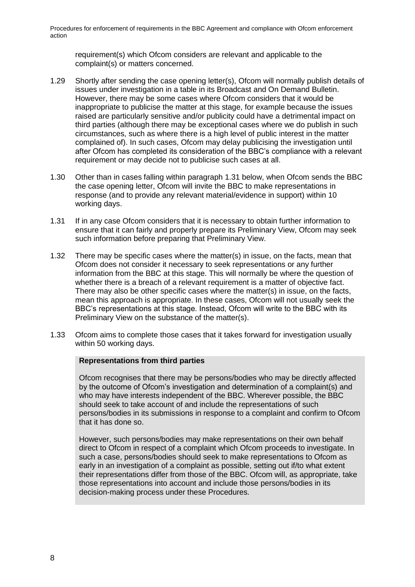requirement(s) which Ofcom considers are relevant and applicable to the complaint(s) or matters concerned.

- 1.29 Shortly after sending the case opening letter(s), Ofcom will normally publish details of issues under investigation in a table in its Broadcast and On Demand Bulletin. However, there may be some cases where Ofcom considers that it would be inappropriate to publicise the matter at this stage, for example because the issues raised are particularly sensitive and/or publicity could have a detrimental impact on third parties (although there may be exceptional cases where we do publish in such circumstances, such as where there is a high level of public interest in the matter complained of). In such cases, Ofcom may delay publicising the investigation until after Ofcom has completed its consideration of the BBC's compliance with a relevant requirement or may decide not to publicise such cases at all.
- 1.30 Other than in cases falling within paragraph [1.31](#page-10-0) below, when Ofcom sends the BBC the case opening letter, Ofcom will invite the BBC to make representations in response (and to provide any relevant material/evidence in support) within 10 working days.
- <span id="page-10-0"></span>1.31 If in any case Ofcom considers that it is necessary to obtain further information to ensure that it can fairly and properly prepare its Preliminary View, Ofcom may seek such information before preparing that Preliminary View.
- 1.32 There may be specific cases where the matter(s) in issue, on the facts, mean that Ofcom does not consider it necessary to seek representations or any further information from the BBC at this stage. This will normally be where the question of whether there is a breach of a relevant requirement is a matter of objective fact. There may also be other specific cases where the matter(s) in issue, on the facts, mean this approach is appropriate. In these cases, Ofcom will not usually seek the BBC's representations at this stage. Instead, Ofcom will write to the BBC with its Preliminary View on the substance of the matter(s).
- 1.33 Ofcom aims to complete those cases that it takes forward for investigation usually within 50 working days.

#### **Representations from third parties**

Ofcom recognises that there may be persons/bodies who may be directly affected by the outcome of Ofcom's investigation and determination of a complaint(s) and who may have interests independent of the BBC. Wherever possible, the BBC should seek to take account of and include the representations of such persons/bodies in its submissions in response to a complaint and confirm to Ofcom that it has done so.

However, such persons/bodies may make representations on their own behalf direct to Ofcom in respect of a complaint which Ofcom proceeds to investigate. In such a case, persons/bodies should seek to make representations to Ofcom as early in an investigation of a complaint as possible, setting out if/to what extent their representations differ from those of the BBC. Ofcom will, as appropriate, take those representations into account and include those persons/bodies in its decision-making process under these Procedures.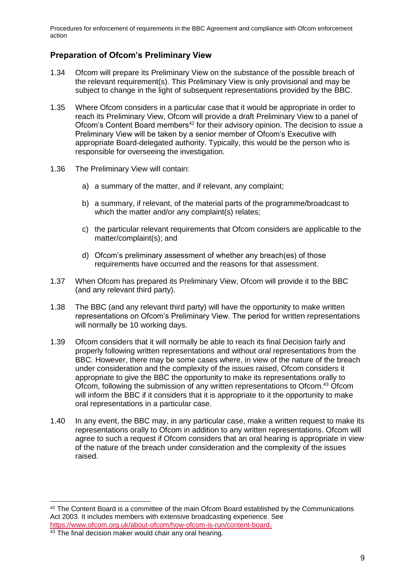## **Preparation of Ofcom's Preliminary View**

- 1.34 Ofcom will prepare its Preliminary View on the substance of the possible breach of the relevant requirement(s). This Preliminary View is only provisional and may be subject to change in the light of subsequent representations provided by the BBC.
- 1.35 Where Ofcom considers in a particular case that it would be appropriate in order to reach its Preliminary View, Ofcom will provide a draft Preliminary View to a panel of Ofcom's Content Board members<sup>42</sup> for their advisory opinion. The decision to issue a Preliminary View will be taken by a senior member of Ofcom's Executive with appropriate Board-delegated authority. Typically, this would be the person who is responsible for overseeing the investigation.
- 1.36 The Preliminary View will contain:
	- a) a summary of the matter, and if relevant, any complaint;
	- b) a summary, if relevant, of the material parts of the programme/broadcast to which the matter and/or any complaint(s) relates;
	- c) the particular relevant requirements that Ofcom considers are applicable to the matter/complaint(s); and
	- d) Ofcom's preliminary assessment of whether any breach(es) of those requirements have occurred and the reasons for that assessment.
- 1.37 When Ofcom has prepared its Preliminary View, Ofcom will provide it to the BBC (and any relevant third party).
- 1.38 The BBC (and any relevant third party) will have the opportunity to make written representations on Ofcom's Preliminary View. The period for written representations will normally be 10 working days.
- 1.39 Ofcom considers that it will normally be able to reach its final Decision fairly and properly following written representations and without oral representations from the BBC. However, there may be some cases where, in view of the nature of the breach under consideration and the complexity of the issues raised, Ofcom considers it appropriate to give the BBC the opportunity to make its representations orally to Ofcom, following the submission of any written representations to Ofcom.<sup>43</sup> Ofcom will inform the BBC if it considers that it is appropriate to it the opportunity to make oral representations in a particular case.
- 1.40 In any event, the BBC may, in any particular case, make a written request to make its representations orally to Ofcom in addition to any written representations. Ofcom will agree to such a request if Ofcom considers that an oral hearing is appropriate in view of the nature of the breach under consideration and the complexity of the issues raised.

<sup>&</sup>lt;sup>42</sup> The Content Board is a committee of the main Ofcom Board established by the Communications Act 2003. It includes members with extensive broadcasting experience. See

[https://www.ofcom.org.uk/about-ofcom/how-ofcom-is-run/content-board.](https://www.ofcom.org.uk/about-ofcom/how-ofcom-is-run/content-board)

<sup>&</sup>lt;sup>43</sup> The final decision maker would chair any oral hearing.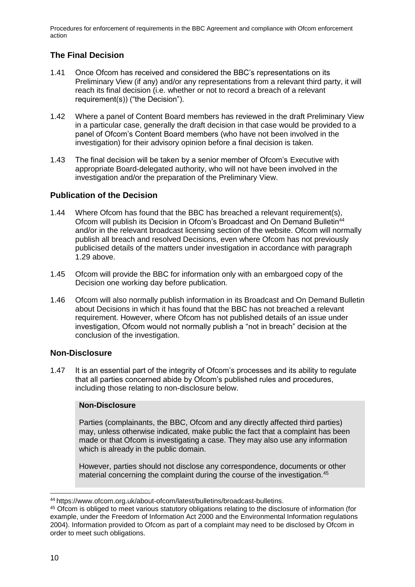# **The Final Decision**

- 1.41 Once Ofcom has received and considered the BBC's representations on its Preliminary View (if any) and/or any representations from a relevant third party, it will reach its final decision (i.e. whether or not to record a breach of a relevant requirement(s)) ("the Decision").
- 1.42 Where a panel of Content Board members has reviewed in the draft Preliminary View in a particular case, generally the draft decision in that case would be provided to a panel of Ofcom's Content Board members (who have not been involved in the investigation) for their advisory opinion before a final decision is taken.
- 1.43 The final decision will be taken by a senior member of Ofcom's Executive with appropriate Board-delegated authority, who will not have been involved in the investigation and/or the preparation of the Preliminary View.

### **Publication of the Decision**

- 1.44 Where Ofcom has found that the BBC has breached a relevant requirement(s), Ofcom will publish its Decision in Ofcom's Broadcast and On Demand Bulletin<sup>44</sup> and/or in the relevant broadcast licensing section of the website. Ofcom will normally publish all breach and resolved Decisions, even where Ofcom has not previously publicised details of the matters under investigation in accordance with paragraph 1.29 above.
- 1.45 Ofcom will provide the BBC for information only with an embargoed copy of the Decision one working day before publication.
- 1.46 Ofcom will also normally publish information in its Broadcast and On Demand Bulletin about Decisions in which it has found that the BBC has not breached a relevant requirement. However, where Ofcom has not published details of an issue under investigation, Ofcom would not normally publish a "not in breach" decision at the conclusion of the investigation.

## **Non-Disclosure**

1.47 It is an essential part of the integrity of Ofcom's processes and its ability to regulate that all parties concerned abide by Ofcom's published rules and procedures, including those relating to non-disclosure below.

#### **Non-Disclosure**

Parties (complainants, the BBC, Ofcom and any directly affected third parties) may, unless otherwise indicated, make public the fact that a complaint has been made or that Ofcom is investigating a case. They may also use any information which is already in the public domain.

However, parties should not disclose any correspondence, documents or other material concerning the complaint during the course of the investigation.<sup>45</sup>

<sup>-</sup><sup>44</sup> https://www.ofcom.org.uk/about-ofcom/latest/bulletins/broadcast-bulletins.

<sup>45</sup> Ofcom is obliged to meet various statutory obligations relating to the disclosure of information (for example, under the Freedom of Information Act 2000 and the Environmental Information regulations 2004). Information provided to Ofcom as part of a complaint may need to be disclosed by Ofcom in order to meet such obligations.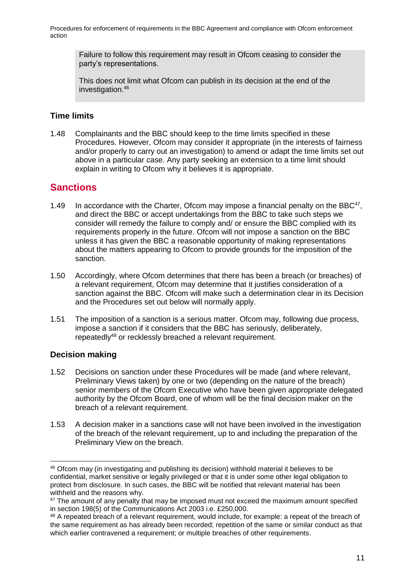Failure to follow this requirement may result in Ofcom ceasing to consider the party's representations.

This does not limit what Ofcom can publish in its decision at the end of the investigation.<sup>46</sup>

#### **Time limits**

1.48 Complainants and the BBC should keep to the time limits specified in these Procedures. However, Ofcom may consider it appropriate (in the interests of fairness and/or properly to carry out an investigation) to amend or adapt the time limits set out above in a particular case. Any party seeking an extension to a time limit should explain in writing to Ofcom why it believes it is appropriate.

# **Sanctions**

- 1.49 In accordance with the Charter, Ofcom may impose a financial penalty on the BBC $47$ , and direct the BBC or accept undertakings from the BBC to take such steps we consider will remedy the failure to comply and/ or ensure the BBC complied with its requirements properly in the future. Ofcom will not impose a sanction on the BBC unless it has given the BBC a reasonable opportunity of making representations about the matters appearing to Ofcom to provide grounds for the imposition of the sanction.
- 1.50 Accordingly, where Ofcom determines that there has been a breach (or breaches) of a relevant requirement, Ofcom may determine that it justifies consideration of a sanction against the BBC. Ofcom will make such a determination clear in its Decision and the Procedures set out below will normally apply.
- 1.51 The imposition of a sanction is a serious matter. Ofcom may, following due process, impose a sanction if it considers that the BBC has seriously, deliberately, repeatedly<sup>48</sup> or recklessly breached a relevant requirement.

## **Decision making**

- 1.52 Decisions on sanction under these Procedures will be made (and where relevant, Preliminary Views taken) by one or two (depending on the nature of the breach) senior members of the Ofcom Executive who have been given appropriate delegated authority by the Ofcom Board, one of whom will be the final decision maker on the breach of a relevant requirement.
- 1.53 A decision maker in a sanctions case will not have been involved in the investigation of the breach of the relevant requirement, up to and including the preparation of the Preliminary View on the breach.

<sup>46</sup> Ofcom may (in investigating and publishing its decision) withhold material it believes to be confidential, market sensitive or legally privileged or that it is under some other legal obligation to protect from disclosure. In such cases, the BBC will be notified that relevant material has been withheld and the reasons why.

<sup>&</sup>lt;sup>47</sup> The amount of any penalty that may be imposed must not exceed the maximum amount specified in section 198(5) of the Communications Act 2003 i.e. £250,000.

<sup>48</sup> A repeated breach of a relevant requirement, would include, for example: a repeat of the breach of the same requirement as has already been recorded; repetition of the same or similar conduct as that which earlier contravened a requirement; or multiple breaches of other requirements.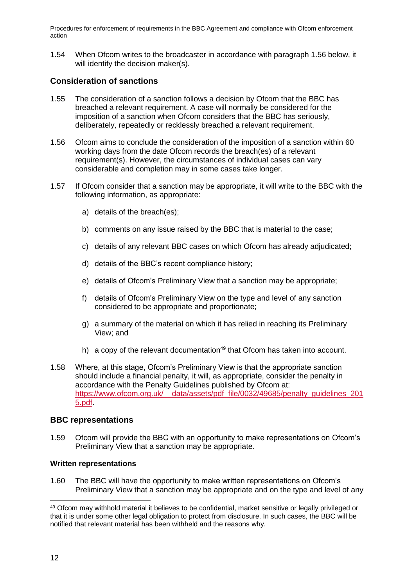1.54 When Ofcom writes to the broadcaster in accordance with paragraph 1.56 below, it will identify the decision maker(s).

#### **Consideration of sanctions**

- 1.55 The consideration of a sanction follows a decision by Ofcom that the BBC has breached a relevant requirement. A case will normally be considered for the imposition of a sanction when Ofcom considers that the BBC has seriously, deliberately, repeatedly or recklessly breached a relevant requirement.
- 1.56 Ofcom aims to conclude the consideration of the imposition of a sanction within 60 working days from the date Ofcom records the breach(es) of a relevant requirement(s). However, the circumstances of individual cases can vary considerable and completion may in some cases take longer.
- 1.57 If Ofcom consider that a sanction may be appropriate, it will write to the BBC with the following information, as appropriate:
	- a) details of the breach(es);
	- b) comments on any issue raised by the BBC that is material to the case;
	- c) details of any relevant BBC cases on which Ofcom has already adjudicated;
	- d) details of the BBC's recent compliance history;
	- e) details of Ofcom's Preliminary View that a sanction may be appropriate;
	- f) details of Ofcom's Preliminary View on the type and level of any sanction considered to be appropriate and proportionate;
	- g) a summary of the material on which it has relied in reaching its Preliminary View; and
	- h) a copy of the relevant documentation<sup>49</sup> that Ofcom has taken into account.
- 1.58 Where, at this stage, Ofcom's Preliminary View is that the appropriate sanction should include a financial penalty, it will, as appropriate, consider the penalty in accordance with the Penalty Guidelines published by Ofcom at: https://www.ofcom.org.uk/ data/assets/pdf\_file/0032/49685/penalty\_quidelines\_201 [5.pdf.](https://www.ofcom.org.uk/__data/assets/pdf_file/0032/49685/penalty_guidelines_2015.pdf)

#### **BBC representations**

1.59 Ofcom will provide the BBC with an opportunity to make representations on Ofcom's Preliminary View that a sanction may be appropriate.

#### **Written representations**

1.60 The BBC will have the opportunity to make written representations on Ofcom's Preliminary View that a sanction may be appropriate and on the type and level of any

<sup>49</sup> Ofcom may withhold material it believes to be confidential, market sensitive or legally privileged or that it is under some other legal obligation to protect from disclosure. In such cases, the BBC will be notified that relevant material has been withheld and the reasons why.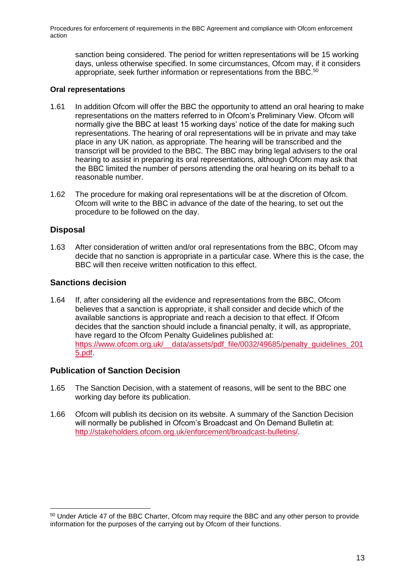sanction being considered. The period for written representations will be 15 working days, unless otherwise specified. In some circumstances, Ofcom may, if it considers appropriate, seek further information or representations from the BBC.<sup>50</sup>

#### **Oral representations**

- 1.61 In addition Ofcom will offer the BBC the opportunity to attend an oral hearing to make representations on the matters referred to in Ofcom's Preliminary View. Ofcom will normally give the BBC at least 15 working days' notice of the date for making such representations. The hearing of oral representations will be in private and may take place in any UK nation, as appropriate. The hearing will be transcribed and the transcript will be provided to the BBC. The BBC may bring legal advisers to the oral hearing to assist in preparing its oral representations, although Ofcom may ask that the BBC limited the number of persons attending the oral hearing on its behalf to a reasonable number.
- 1.62 The procedure for making oral representations will be at the discretion of Ofcom. Ofcom will write to the BBC in advance of the date of the hearing, to set out the procedure to be followed on the day.

#### **Disposal**

-

1.63 After consideration of written and/or oral representations from the BBC, Ofcom may decide that no sanction is appropriate in a particular case. Where this is the case, the BBC will then receive written notification to this effect.

#### **Sanctions decision**

1.64 If, after considering all the evidence and representations from the BBC, Ofcom believes that a sanction is appropriate, it shall consider and decide which of the available sanctions is appropriate and reach a decision to that effect. If Ofcom decides that the sanction should include a financial penalty, it will, as appropriate, have regard to the Ofcom Penalty Guidelines published at: [https://www.ofcom.org.uk/\\_\\_data/assets/pdf\\_file/0032/49685/penalty\\_guidelines\\_201](https://www.ofcom.org.uk/__data/assets/pdf_file/0032/49685/penalty_guidelines_2015.pdf) [5.pdf.](https://www.ofcom.org.uk/__data/assets/pdf_file/0032/49685/penalty_guidelines_2015.pdf)

#### **Publication of Sanction Decision**

- 1.65 The Sanction Decision, with a statement of reasons, will be sent to the BBC one working day before its publication.
- 1.66 Ofcom will publish its decision on its website. A summary of the Sanction Decision will normally be published in Ofcom's Broadcast and On Demand Bulletin at: [http://stakeholders.ofcom.org.uk/enforcement/broadcast-bulletins/.](http://stakeholders.ofcom.org.uk/enforcement/broadcast-bulletins/)

<sup>50</sup> Under Article 47 of the BBC Charter, Ofcom may require the BBC and any other person to provide information for the purposes of the carrying out by Ofcom of their functions.